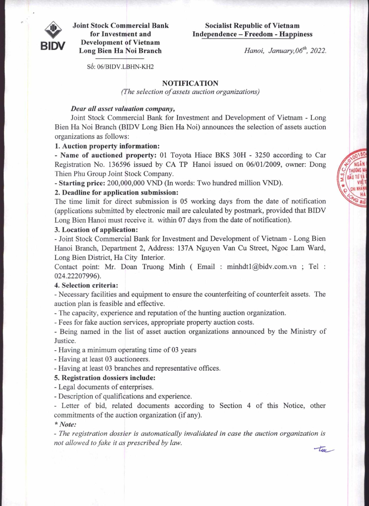

**Joint Stock Commercial Bank for Investment and Development of Vietnam Long Bien Ha Noi Branch** 

# **Socialist Republic of Vietnam Independence — Freedom - Happiness**

**BIDV** *Hanoi, January, 06:h, 2022.* 

S6: 06/BIDV.LBHN-KH2

# **NOTIFICATION**

*(The selection of assets auction organizations)* 

## *Dear all asset valuation company,*

Joint Stock Commercial Bank for Investment and Development of Vietnam - Long Bien Ha Noi Branch (BIDV Long Bien Ha Noi) announces the selection of assets auction organizations as follows:

# **1. Auction property information:**

**- Name of auctioned property:** 01 Toyota Hiace BKS 30H - 3250 according to Car Registration No. 136596 issued by CA TP Hanoi issued on 06/01/2009, owner: Dong Thien Phu Group Joint Stock Company.

**- Starting price:** 200,000,000 VND (In words: Two hundred million VND).

## **2. Deadline for application submission:**

The time limit for direct submission is 05 working days from the date of notification (applications submitted by electronic mail are calculated by postmark, provided that BIDV Long Bien Hanoi must receive it. within 07 days from the date of notification).

#### **3. Location of application:**

- Joint Stock Commercial Bank for Investment and Development of Vietnam - Long Bien Hanoi Branch, Department 2, Address: 137A Nguyen Van Cu Street, Ngoc Lam Ward, Long Bien District, Ha City Interior.

Contact point: Mr. Doan Truong Minh ( Email : minhdt1@bidv.com.vn ; Tel : 024.22207996).

### **4. Selection criteria:**

- Necessary facilities and equipment to ensure the counterfeiting of counterfeit assets. The auction plan is feasible and effective.

- The capacity, experience and reputation of the hunting auction organization.

- Fees for fake auction services, appropriate property auction costs.

- Being named in the list of asset auction organizations announced by the Ministry of Justice.

- Having a minimum operating time of 03 years

- Having at least 03 auctioneers.

- Having at least 03 branches and representative offices.

#### **5. Registration dossiers include:**

- Legal documents of enterprises.

- Description of qualifications and experience.

- Letter of bid, related documents according to Section 4 of this Notice, other commitments of the auction organization (if any).

*\* Note:* 

*- The registration dossier is automatically invalidated in case the auction organization is not allowed to fake it as prescribed by law.* tue